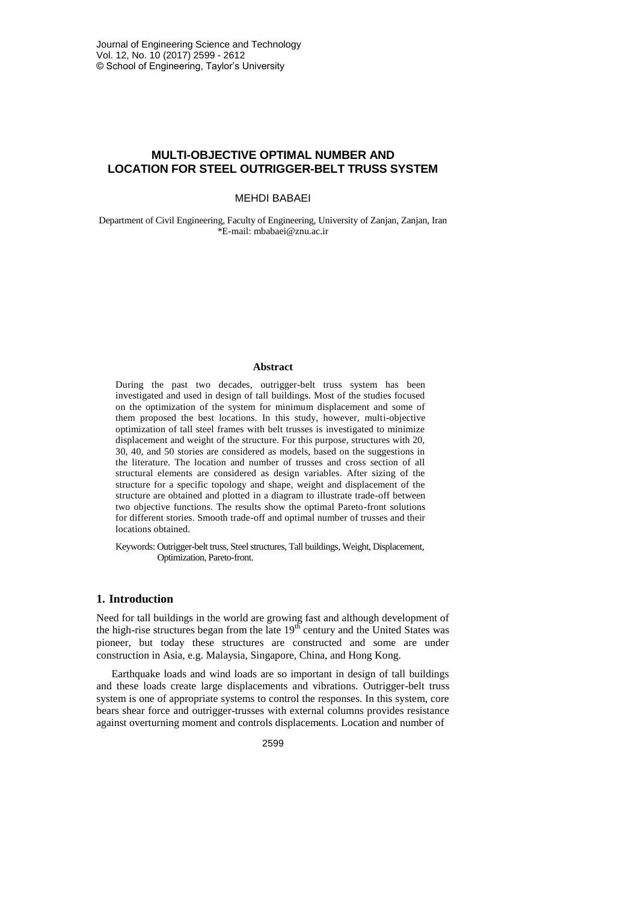# **MULTI-OBJECTIVE OPTIMAL NUMBER AND LOCATION FOR STEEL OUTRIGGER-BELT TRUSS SYSTEM**

### MEHDI BABAEI

Department of Civil Engineering, Faculty of Engineering, University of Zanjan, Zanjan, Iran \*E-mail: mbabaei@znu.ac.ir

#### **Abstract**

During the past two decades, outrigger-belt truss system has been investigated and used in design of tall buildings. Most of the studies focused on the optimization of the system for minimum displacement and some of them proposed the best locations. In this study, however, multi-objective optimization of tall steel frames with belt trusses is investigated to minimize displacement and weight of the structure. For this purpose, structures with 20, 30, 40, and 50 stories are considered as models, based on the suggestions in the literature. The location and number of trusses and cross section of all structural elements are considered as design variables. After sizing of the structure for a specific topology and shape, weight and displacement of the structure are obtained and plotted in a diagram to illustrate trade-off between two objective functions. The results show the optimal Pareto-front solutions for different stories. Smooth trade-off and optimal number of trusses and their locations obtained.

Keywords: Outrigger-belt truss, Steel structures, Tall buildings, Weight, Displacement, Optimization, Pareto-front.

### **1. Introduction**

Need for tall buildings in the world are growing fast and although development of the high-rise structures began from the late  $19<sup>th</sup>$  century and the United States was pioneer, but today these structures are constructed and some are under construction in Asia, e.g. Malaysia, Singapore, China, and Hong Kong.

Earthquake loads and wind loads are so important in design of tall buildings and these loads create large displacements and vibrations. Outrigger-belt truss system is one of appropriate systems to control the responses. In this system, core bears shear force and outrigger-trusses with external columns provides resistance against overturning moment and controls displacements. Location and number of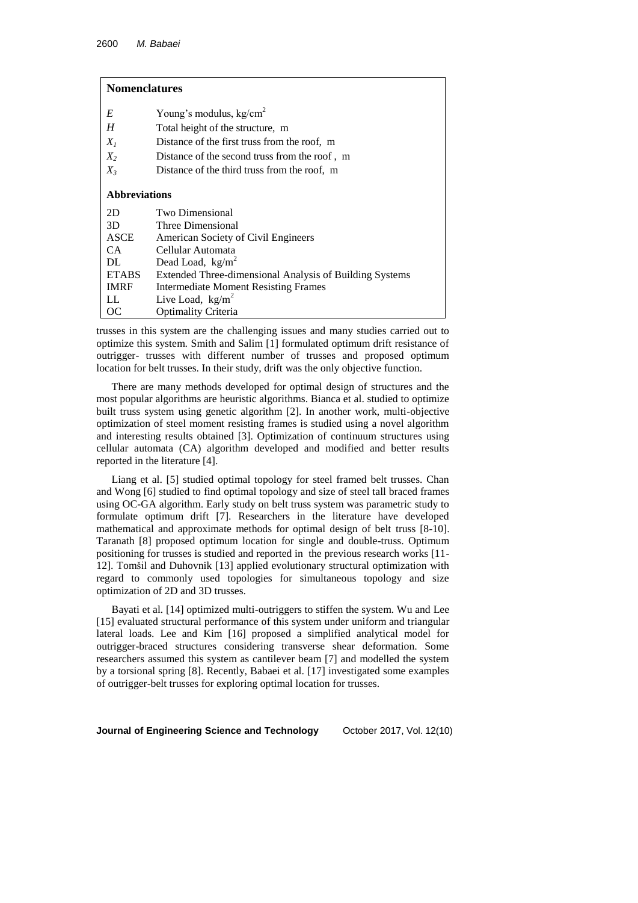# **Nomenclatures**

| E                    | Young's modulus, $kg/cm2$                               |
|----------------------|---------------------------------------------------------|
| H                    | Total height of the structure, m                        |
| $X_I$                | Distance of the first truss from the roof, m            |
| $X_2$                | Distance of the second truss from the roof, m           |
| $X_{3}$              | Distance of the third truss from the roof, m            |
| <b>Abbreviations</b> |                                                         |
| 2D                   | Two Dimensional                                         |
| 3D                   | Three Dimensional                                       |
| ASCE                 | American Society of Civil Engineers                     |
| CA.                  | Cellular Automata                                       |
| DL                   | Dead Load, $kg/m2$                                      |
| <b>ETABS</b>         | Extended Three-dimensional Analysis of Building Systems |
| <b>IMRF</b>          | <b>Intermediate Moment Resisting Frames</b>             |
| LL                   | Live Load, $kg/m^2$                                     |
| ОC                   | Optimality Criteria                                     |

trusses in this system are the challenging issues and many studies carried out to optimize this system. Smith and Salim [1] formulated optimum drift resistance of outrigger- trusses with different number of trusses and proposed optimum location for belt trusses. In their study, drift was the only objective function.

There are many methods developed for optimal design of structures and the most popular algorithms are heuristic algorithms. Bianca et al. studied to optimize built truss system using genetic algorithm [2]. In another work, multi-objective optimization of steel moment resisting frames is studied using a novel algorithm and interesting results obtained [3]. Optimization of continuum structures using cellular automata (CA) algorithm developed and modified and better results reported in the literature [4].

Liang et al. [5] studied optimal topology for steel framed belt trusses. Chan and Wong [6] studied to find optimal topology and size of steel tall braced frames using OC-GA algorithm. Early study on belt truss system was parametric study to formulate optimum drift [7]. Researchers in the literature have developed mathematical and approximate methods for optimal design of belt truss [8-10]. Taranath [8] proposed optimum location for single and double-truss. Optimum positioning for trusses is studied and reported in the previous research works [11- 12]. Tomšil and Duhovnik [13] applied evolutionary structural optimization with regard to commonly used topologies for simultaneous topology and size optimization of 2D and 3D trusses.

Bayati et al. [14] optimized multi-outriggers to stiffen the system. Wu and Lee [15] evaluated structural performance of this system under uniform and triangular lateral loads. Lee and Kim [16] proposed a simplified analytical model for outrigger-braced structures considering transverse shear deformation. Some researchers assumed this system as cantilever beam [7] and modelled the system by a torsional spring [8]. Recently, Babaei et al. [17] investigated some examples of outrigger-belt trusses for exploring optimal location for trusses.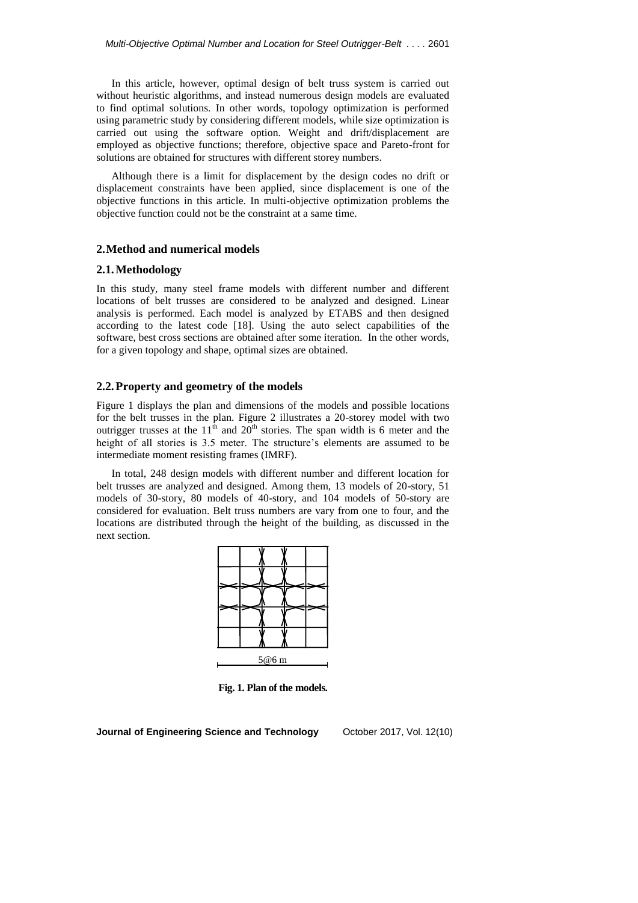In this article, however, optimal design of belt truss system is carried out without heuristic algorithms, and instead numerous design models are evaluated to find optimal solutions. In other words, topology optimization is performed using parametric study by considering different models, while size optimization is carried out using the software option. Weight and drift/displacement are employed as objective functions; therefore, objective space and Pareto-front for solutions are obtained for structures with different storey numbers.

Although there is a limit for displacement by the design codes no drift or displacement constraints have been applied, since displacement is one of the objective functions in this article. In multi-objective optimization problems the objective function could not be the constraint at a same time.

#### **2.Method and numerical models**

#### **2.1.Methodology**

In this study, many steel frame models with different number and different locations of belt trusses are considered to be analyzed and designed. Linear analysis is performed. Each model is analyzed by ETABS and then designed according to the latest code [18]. Using the auto select capabilities of the software, best cross sections are obtained after some iteration. In the other words, for a given topology and shape, optimal sizes are obtained.

# **2.2.Property and geometry of the models**

Figure 1 displays the plan and dimensions of the models and possible locations for the belt trusses in the plan. Figure 2 illustrates a 20-storey model with two outrigger trusses at the  $11<sup>th</sup>$  and  $20<sup>th</sup>$  stories. The span width is 6 meter and the height of all stories is 3.5 meter. The structure's elements are assumed to be intermediate moment resisting frames (IMRF).

In total, 248 design models with different number and different location for belt trusses are analyzed and designed. Among them, 13 models of 20-story, 51 models of 30-story, 80 models of 40-story, and 104 models of 50-story are considered for evaluation. Belt truss numbers are vary from one to four, and the locations are distributed through the height of the building, as discussed in the next section.



**Fig. 1. Plan of the models.**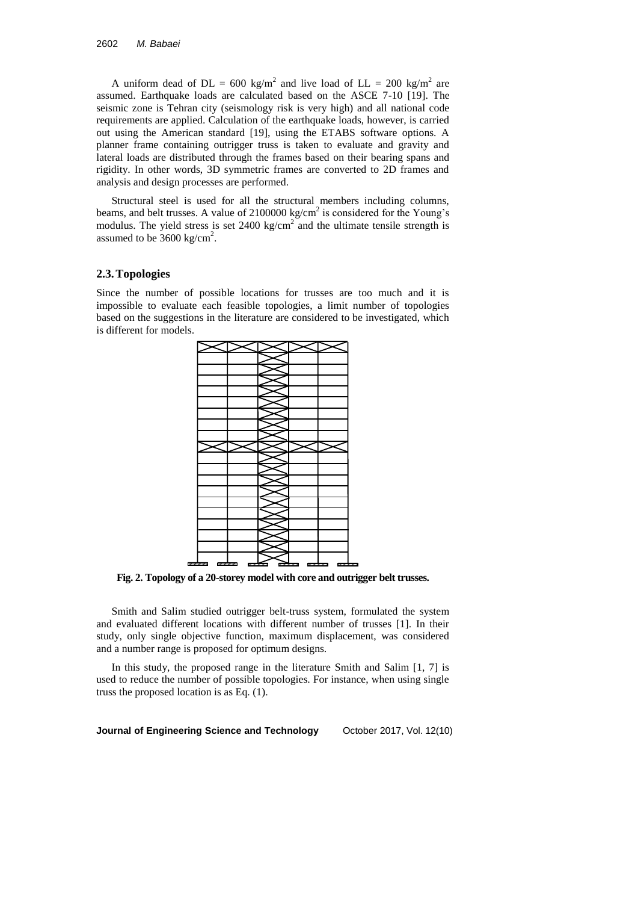A uniform dead of  $DL = 600 \text{ kg/m}^2$  and live load of  $LL = 200 \text{ kg/m}^2$  are assumed. Earthquake loads are calculated based on the ASCE 7-10 [19]. The seismic zone is Tehran city (seismology risk is very high) and all national code requirements are applied. Calculation of the earthquake loads, however, is carried out using the American standard [19], using the ETABS software options. A planner frame containing outrigger truss is taken to evaluate and gravity and lateral loads are distributed through the frames based on their bearing spans and rigidity. In other words, 3D symmetric frames are converted to 2D frames and analysis and design processes are performed.

Structural steel is used for all the structural members including columns, beams, and belt trusses. A value of  $2100000 \text{ kg/cm}^2$  is considered for the Young's modulus. The yield stress is set  $2400 \text{ kg/cm}^2$  and the ultimate tensile strength is assumed to be  $3600 \text{ kg/cm}^2$ .

### **2.3.Topologies**

Since the number of possible locations for trusses are too much and it is impossible to evaluate each feasible topologies, a limit number of topologies based on the suggestions in the literature are considered to be investigated, which is different for models.



**Fig. 2. Topology of a 20-storey model with core and outrigger belt trusses.**

Smith and Salim studied outrigger belt-truss system, formulated the system and evaluated different locations with different number of trusses [1]. In their study, only single objective function, maximum displacement, was considered and a number range is proposed for optimum designs.

In this study, the proposed range in the literature Smith and Salim [1, 7] is used to reduce the number of possible topologies. For instance, when using single truss the proposed location is as Eq. (1).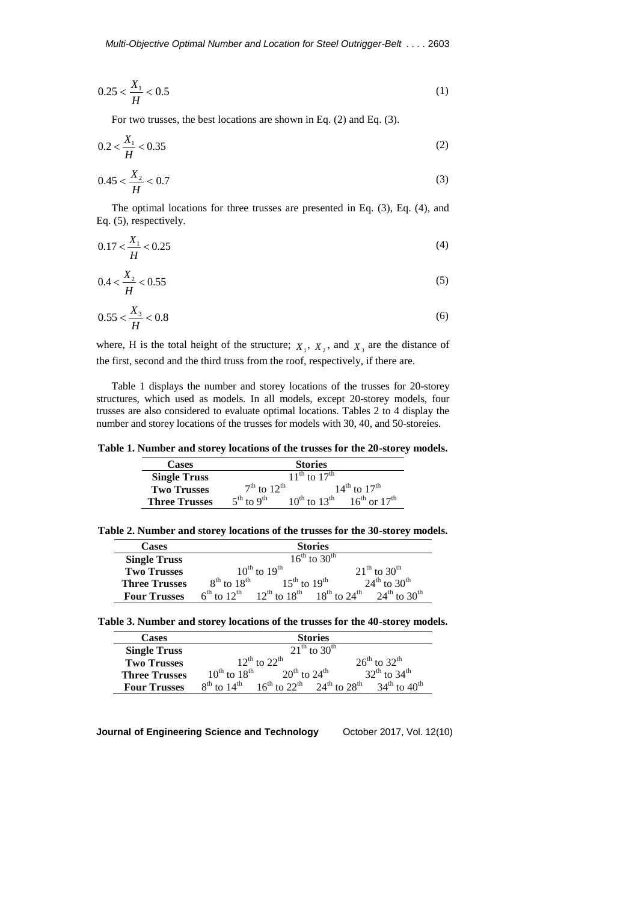$$
0.25 < \frac{X_1}{H} < 0.5 \tag{1}
$$

For two trusses, the best locations are shown in Eq. (2) and Eq. (3).

$$
0.2 < \frac{X_1}{H} < 0.35 \tag{2}
$$

$$
0.45 < \frac{X_2}{H} < 0.7 \tag{3}
$$

The optimal locations for three trusses are presented in Eq. (3), Eq. (4), and Eq. (5), respectively.

$$
0.17 < \frac{X_1}{H} < 0.25 \tag{4}
$$

$$
0.4 < \frac{X_2}{H} < 0.55 \tag{5}
$$

$$
0.55 < \frac{X_3}{H} < 0.8 \tag{6}
$$

where, H is the total height of the structure;  $X_1$ ,  $X_2$ , and  $X_3$  are the distance of the first, second and the third truss from the roof, respectively, if there are.

Table 1 displays the number and storey locations of the trusses for 20-storey structures, which used as models. In all models, except 20-storey models, four trusses are also considered to evaluate optimal locations. Tables 2 to 4 display the number and storey locations of the trusses for models with 30, 40, and 50-storeies.

**Table 1. Number and storey locations of the trusses for the 20-storey models.**

| <b>Cases</b>         | <b>Stories</b>              |                                                  |  |
|----------------------|-----------------------------|--------------------------------------------------|--|
| <b>Single Truss</b>  |                             | $11^{th}$ to $17^{th}$                           |  |
| <b>Two Trusses</b>   | $7th$ to $12th$             | $14^{th}$ to $17^{th}$                           |  |
| <b>Three Trusses</b> | $5^{th}$ to 9 <sup>th</sup> | $10^{th}$ to $13^{th}$<br>$16^{th}$ or $17^{th}$ |  |

**Table 2. Number and storey locations of the trusses for the 30-storey models.**

| <b>Cases</b>         | <b>Stories</b>         |                                                                                                                 |  |
|----------------------|------------------------|-----------------------------------------------------------------------------------------------------------------|--|
| <b>Single Truss</b>  |                        | $16^{th}$ to $30^{th}$                                                                                          |  |
| <b>Two Trusses</b>   | $10^{th}$ to $19^{th}$ | $21^{th}$ to $30^{th}$                                                                                          |  |
| <b>Three Trusses</b> | $8^{th}$ to $18^{th}$  | $24^{th}$ to $30^{th}$<br>$15^{th}$ to $19^{th}$                                                                |  |
| <b>Four Trusses</b>  |                        | $6^{th}$ to $12^{th}$ 12 <sup>th</sup> to $18^{th}$ 18 <sup>th</sup> to $24^{th}$ 24 <sup>th</sup> to $30^{th}$ |  |

| <b>Cases</b>         |                                                                        | <b>Stories</b>         |  |
|----------------------|------------------------------------------------------------------------|------------------------|--|
| <b>Single Truss</b>  | $21^{th}$ to 30 <sup>th</sup>                                          |                        |  |
| <b>Two Trusses</b>   | $12^{th}$ to $22^{th}$                                                 | $26^{th}$ to $32^{th}$ |  |
| <b>Three Trusses</b> | $10^{\text{th}}$ to $18^{\text{th}}$<br>$20^{th}$ to $24^{th}$         | $32^{th}$ to $34^{th}$ |  |
| <b>Four Trusses</b>  | $16^{th}$ to $22^{th}$ $24^{th}$ to $28^{th}$<br>$8^{th}$ to $14^{th}$ | $34^{th}$ to $40^{th}$ |  |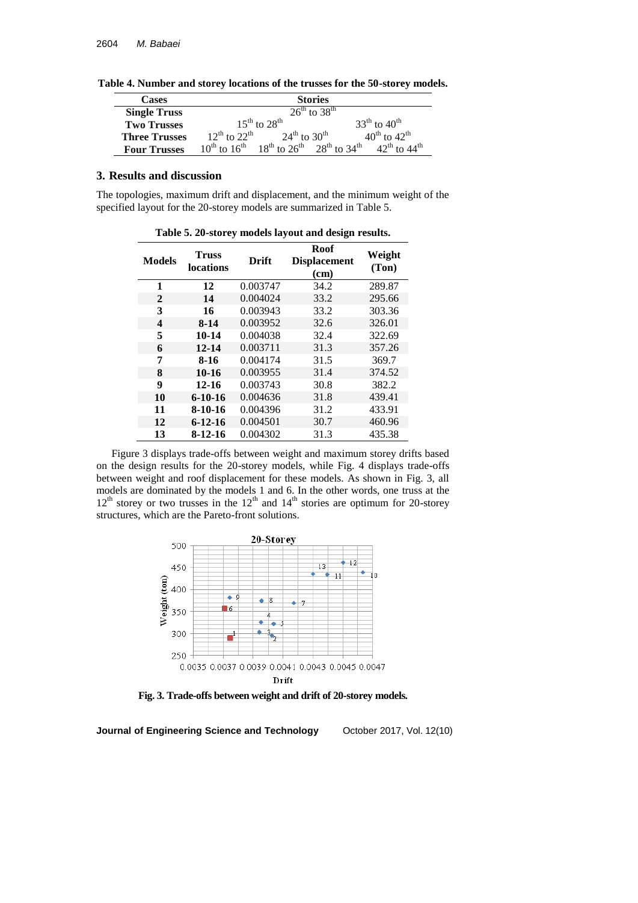**Table 4. Number and storey locations of the trusses for the 50-storey models.**

| <b>Cases</b>         | <b>Stories</b>                                                                            |                        |
|----------------------|-------------------------------------------------------------------------------------------|------------------------|
| <b>Single Truss</b>  | $26^{\text{th}}$ to $38^{\text{th}}$                                                      |                        |
| <b>Two Trusses</b>   | $15^{\text{th}}$ to $28^{\text{th}}$                                                      | $33^{th}$ to $40^{th}$ |
| <b>Three Trusses</b> | $12^{th}$ to $22^{th}$<br>$24^{th}$ to $30^{th}$                                          | $40^{th}$ to $42^{th}$ |
| <b>Four Trusses</b>  | $10^{th}$ to $16^{th}$ 18 <sup>th</sup> to $26^{th}$ 28 <sup>th</sup> to 34 <sup>th</sup> | $42^{th}$ to $44^{th}$ |

# **3. Results and discussion**

The topologies, maximum drift and displacement, and the minimum weight of the specified layout for the 20-storey models are summarized in Table 5.

| Table 5. 20-storey models layout and design results. |                           |          |                                     |                 |
|------------------------------------------------------|---------------------------|----------|-------------------------------------|-----------------|
| <b>Models</b>                                        | Truss<br><b>locations</b> | Drift    | Roof<br><b>Displacement</b><br>(cm) | Weight<br>(Ton) |
| 1                                                    | 12                        | 0.003747 | 34.2                                | 289.87          |
| 2                                                    | 14                        | 0.004024 | 33.2                                | 295.66          |
| 3                                                    | 16                        | 0.003943 | 33.2                                | 303.36          |
| 4                                                    | 8-14                      | 0.003952 | 32.6                                | 326.01          |
| 5                                                    | 10-14                     | 0.004038 | 32.4                                | 322.69          |
| 6                                                    | $12 - 14$                 | 0.003711 | 31.3                                | 357.26          |
| 7                                                    | 8-16                      | 0.004174 | 31.5                                | 369.7           |
| 8                                                    | 10-16                     | 0.003955 | 31.4                                | 374.52          |
| 9                                                    | $12 - 16$                 | 0.003743 | 30.8                                | 382.2           |
| 10                                                   | $6 - 10 - 16$             | 0.004636 | 31.8                                | 439.41          |
| 11                                                   | $8-10-16$                 | 0.004396 | 31.2                                | 433.91          |
| 12                                                   | $6 - 12 - 16$             | 0.004501 | 30.7                                | 460.96          |
| 13                                                   | 8-12-16                   | 0.004302 | 31.3                                | 435.38          |

Figure 3 displays trade-offs between weight and maximum storey drifts based on the design results for the 20-storey models, while Fig. 4 displays trade-offs between weight and roof displacement for these models. As shown in Fig. 3, all models are dominated by the models 1 and 6. In the other words, one truss at the  $12<sup>th</sup>$  storey or two trusses in the  $12<sup>th</sup>$  and  $14<sup>th</sup>$  stories are optimum for 20-storey structures, which are the Pareto-front solutions.



**Fig. 3. Trade-offs between weight and drift of 20-storey models.**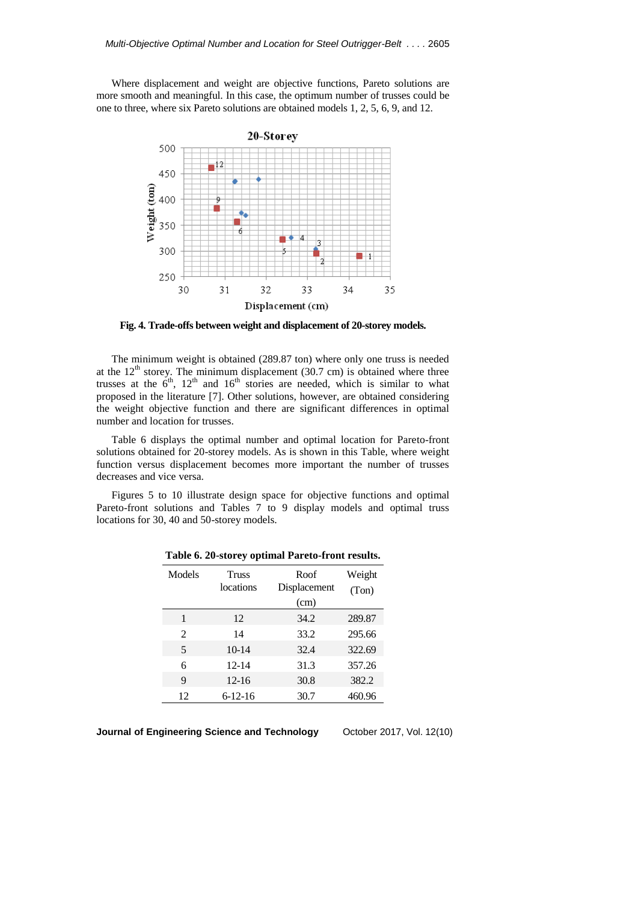Where displacement and weight are objective functions, Pareto solutions are more smooth and meaningful. In this case, the optimum number of trusses could be one to three, where six Pareto solutions are obtained models 1, 2, 5, 6, 9, and 12.



**Fig. 4. Trade-offs between weight and displacement of 20-storey models.**

The minimum weight is obtained (289.87 ton) where only one truss is needed at the  $12<sup>th</sup>$  storey. The minimum displacement (30.7 cm) is obtained where three trusses at the  $6<sup>th</sup>$ ,  $12<sup>th</sup>$  and  $16<sup>th</sup>$  stories are needed, which is similar to what proposed in the literature [7]. Other solutions, however, are obtained considering the weight objective function and there are significant differences in optimal number and location for trusses.

Table 6 displays the optimal number and optimal location for Pareto-front solutions obtained for 20-storey models. As is shown in this Table, where weight function versus displacement becomes more important the number of trusses decreases and vice versa.

Figures 5 to 10 illustrate design space for objective functions and optimal Pareto-front solutions and Tables 7 to 9 display models and optimal truss locations for 30, 40 and 50-storey models.

| Models         | Truss<br>locations | Roof<br>Displacement<br>(cm) | Weight<br>(Ton) |
|----------------|--------------------|------------------------------|-----------------|
| 1              | 12                 | 34.2                         | 289.87          |
| $\mathfrak{D}$ | 14                 | 33.2                         | 295.66          |
| 5              | $10-14$            | 32.4                         | 322.69          |
| 6              | $12 - 14$          | 31.3                         | 357.26          |
| 9              | $12 - 16$          | 30.8                         | 382.2           |
| 12             | $6-12-16$          | 30.7                         | 460.96          |

**Table 6. 20-storey optimal Pareto-front results.**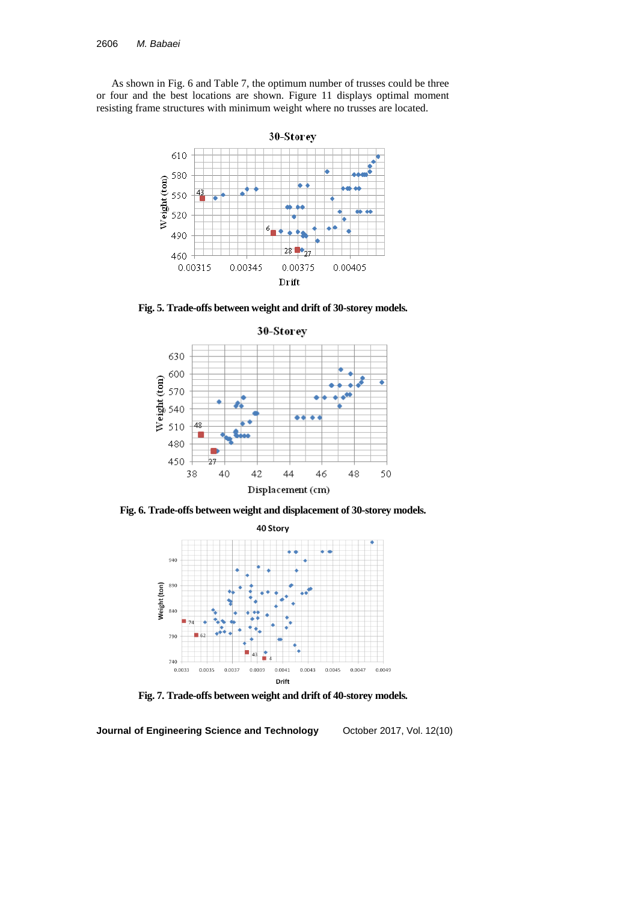As shown in Fig. 6 and Table 7, the optimum number of trusses could be three or four and the best locations are shown. Figure 11 displays optimal moment resisting frame structures with minimum weight where no trusses are located.



**Fig. 5. Trade-offs between weight and drift of 30-storey models.**



**Fig. 6. Trade-offs between weight and displacement of 30-storey models.**



**Fig. 7. Trade-offs between weight and drift of 40-storey models.**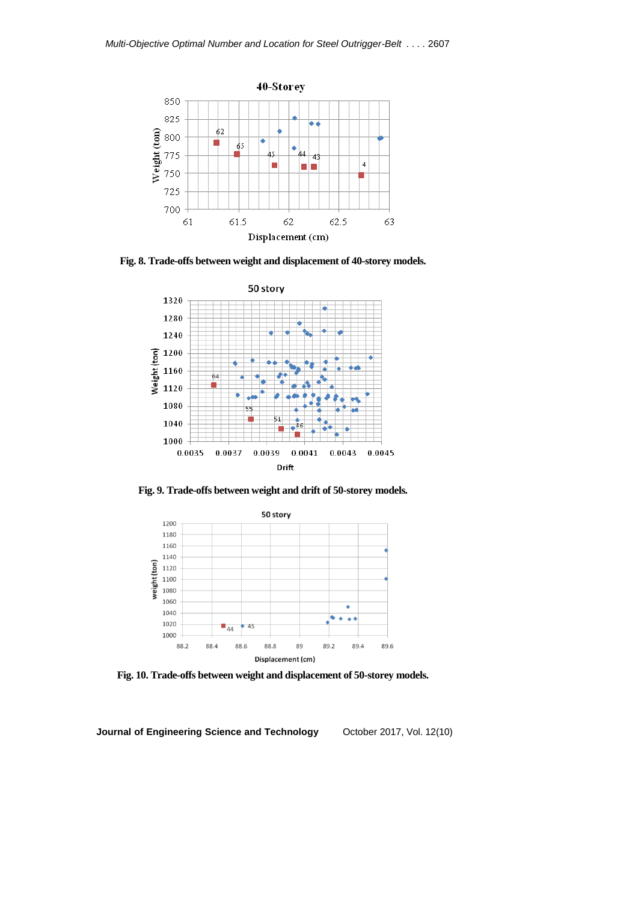

**Fig. 8. Trade-offs between weight and displacement of 40-storey models.**



**Fig. 9. Trade-offs between weight and drift of 50-storey models.**



**Fig. 10. Trade-offs between weight and displacement of 50-storey models.**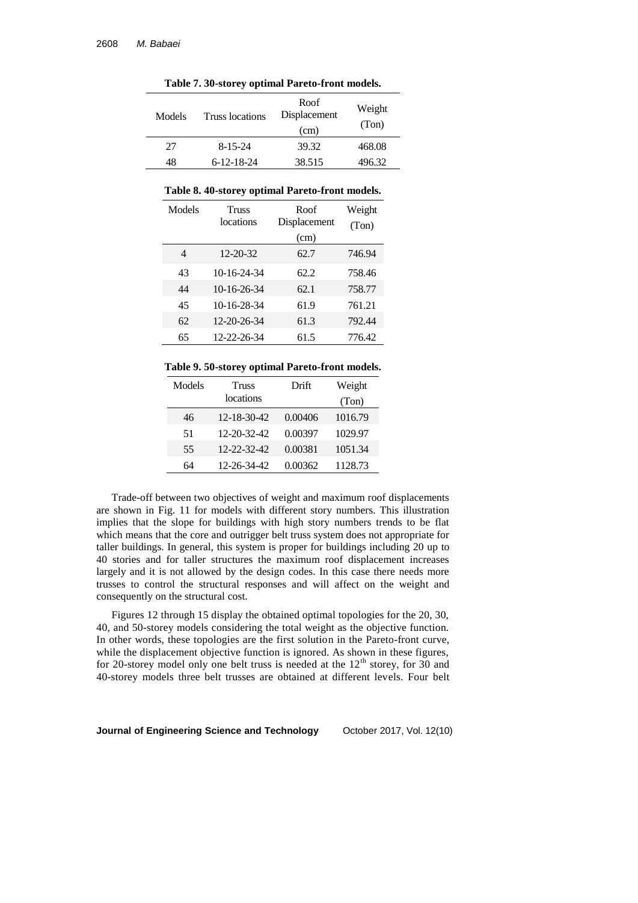| Models | Truss locations    | Roof<br>Displacement<br>(cm) | Weight<br>(Ton) |
|--------|--------------------|------------------------------|-----------------|
| 27     | $8 - 15 - 24$      | 39.32                        | 468.08          |
| 48     | $6 - 12 - 18 - 24$ | 38.515                       | 496.32          |

**Table 7. 30-storey optimal Pareto-front models.**

#### **Table 8. 40-storey optimal Pareto-front models.**

| Models | Truss<br>locations | Roof<br>Displacement<br>(cm) | Weight<br>(Ton) |
|--------|--------------------|------------------------------|-----------------|
| 4      | 12-20-32           | 62.7                         | 746.94          |
| 43     | 10-16-24-34        | 62.2                         | 758.46          |
| 44     | 10-16-26-34        | 62.1                         | 758.77          |
| 45     | 10-16-28-34        | 61.9                         | 761.21          |
| 62     | 12-20-26-34        | 61.3                         | 792.44          |
| 65     | 12-22-26-34        | 61.5                         | 776.42          |

#### **Table 9. 50-storey optimal Pareto-front models.**

| Models | <b>Truss</b> | Drift   | Weight  |
|--------|--------------|---------|---------|
|        | locations    |         | (Ton)   |
| 46     | 12-18-30-42  | 0.00406 | 1016.79 |
| 51     | 12-20-32-42  | 0.00397 | 1029.97 |
| 55     | 12-22-32-42  | 0.00381 | 1051.34 |
| 64     | 12-26-34-42  | 0.00362 | 1128.73 |

Trade-off between two objectives of weight and maximum roof displacements are shown in Fig. 11 for models with different story numbers. This illustration implies that the slope for buildings with high story numbers trends to be flat which means that the core and outrigger belt truss system does not appropriate for taller buildings. In general, this system is proper for buildings including 20 up to 40 stories and for taller structures the maximum roof displacement increases largely and it is not allowed by the design codes. In this case there needs more trusses to control the structural responses and will affect on the weight and consequently on the structural cost.

Figures 12 through 15 display the obtained optimal topologies for the 20, 30, 40, and 50-storey models considering the total weight as the objective function. In other words, these topologies are the first solution in the Pareto-front curve, while the displacement objective function is ignored. As shown in these figures, for 20-storey model only one belt truss is needed at the  $12<sup>th</sup>$  storey, for 30 and 40-storey models three belt trusses are obtained at different levels. Four belt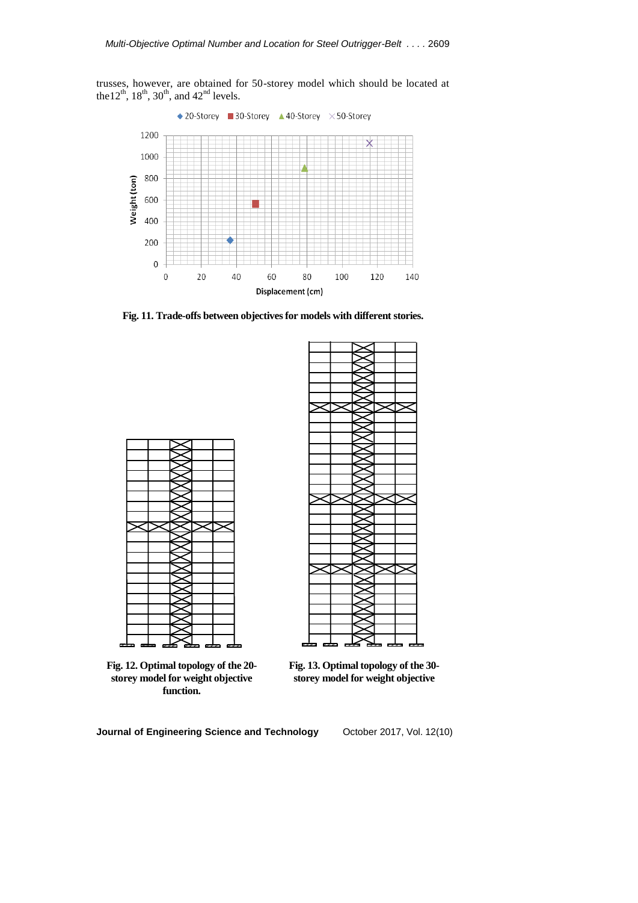trusses, however, are obtained for 50-storey model which should be located at the  $12^{th}$ ,  $18^{th}$ ,  $30^{th}$ , and  $42^{nd}$  levels.



**Fig. 11. Trade-offs between objectives for models with different stories.**



**Fig. 12. Optimal topology of the 20 storey model for weight objective function.**



**Fig. 13. Optimal topology of the 30 storey model for weight objective**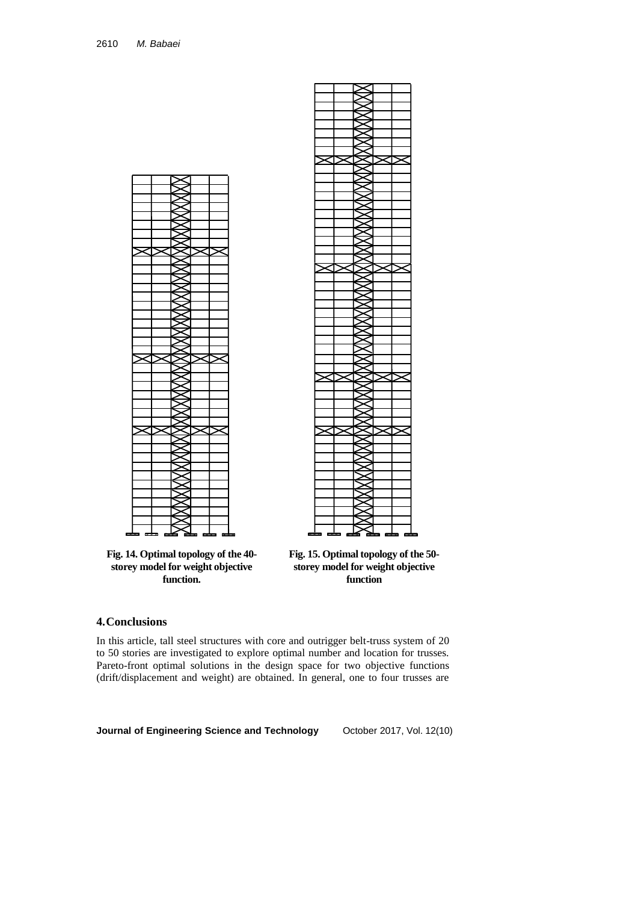

**Fig. 14. Optimal topology of the 40 storey model for weight objective function.**



**Fig. 15. Optimal topology of the 50 storey model for weight objective function**

## **4.Conclusions**

In this article, tall steel structures with core and outrigger belt-truss system of 20 to 50 stories are investigated to explore optimal number and location for trusses. Pareto-front optimal solutions in the design space for two objective functions (drift/displacement and weight) are obtained. In general, one to four trusses are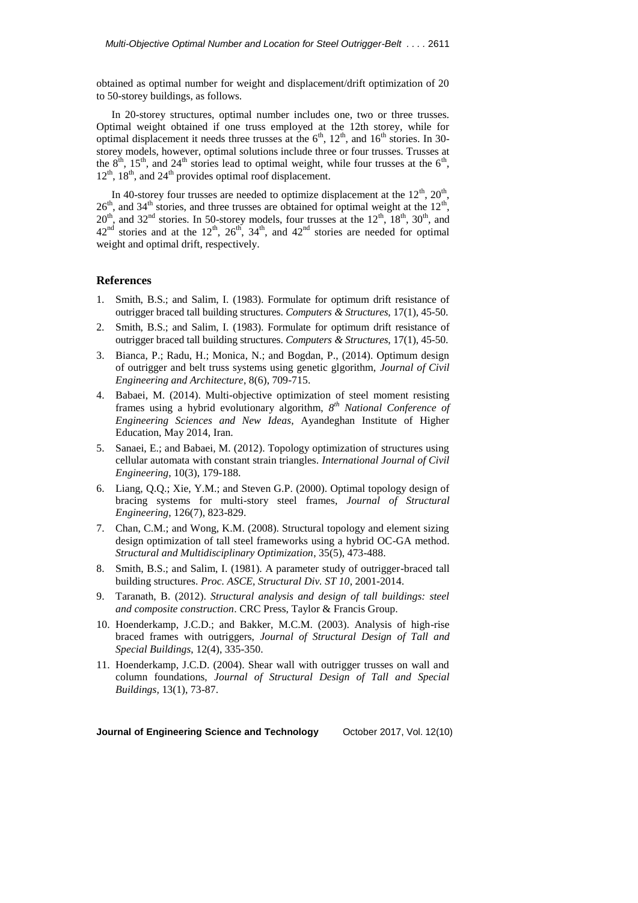obtained as optimal number for weight and displacement/drift optimization of 20 to 50-storey buildings, as follows.

In 20-storey structures, optimal number includes one, two or three trusses. Optimal weight obtained if one truss employed at the 12th storey, while for optimal displacement it needs three trusses at the  $6<sup>th</sup>$ ,  $12<sup>th</sup>$ , and  $16<sup>th</sup>$  stories. In 30storey models, however, optimal solutions include three or four trusses. Trusses at the  $8<sup>th</sup>$ ,  $15<sup>th</sup>$ , and  $24<sup>th</sup>$  stories lead to optimal weight, while four trusses at the  $6<sup>th</sup>$ ,  $12<sup>th</sup>$ ,  $18<sup>th</sup>$ , and  $24<sup>th</sup>$  provides optimal roof displacement.

In 40-storey four trusses are needed to optimize displacement at the  $12<sup>th</sup>$ ,  $20<sup>th</sup>$ ,  $26<sup>th</sup>$ , and  $34<sup>th</sup>$  stories, and three trusses are obtained for optimal weight at the  $12<sup>th</sup>$ ,  $20<sup>th</sup>$ , and  $32<sup>nd</sup>$  stories. In 50-storey models, four trusses at the  $12<sup>th</sup>$ ,  $18<sup>th</sup>$ ,  $30<sup>th</sup>$ , and  $42<sup>nd</sup>$  stories and at the  $12<sup>th</sup>$ ,  $26<sup>th</sup>$ ,  $34<sup>th</sup>$ , and  $42<sup>nd</sup>$  stories are needed for optimal weight and optimal drift, respectively.

### **References**

- 1. Smith, B.S.; and Salim, I. (1983). Formulate for optimum drift resistance of outrigger braced tall building structures. *Computers & Structures*, 17(1), 45-50.
- 2. Smith, B.S.; and Salim, I. (1983). Formulate for optimum drift resistance of outrigger braced tall building structures. *Computers & Structures*, 17(1), 45-50.
- 3. Bianca, P.; Radu, H.; Monica, N.; and Bogdan, P., (2014). Optimum design of outrigger and belt truss systems using genetic glgorithm, *Journal of Civil Engineering and Architecture*, 8(6), 709-715.
- 4. Babaei, M. (2014). Multi-objective optimization of steel moment resisting frames using a hybrid evolutionary algorithm, 8<sup>th</sup> National Conference of *Engineering Sciences and New Ideas*, Ayandeghan Institute of Higher Education, May 2014, Iran.
- 5. Sanaei, E.; and Babaei, M. (2012). Topology optimization of structures using cellular automata with constant strain triangles. *International Journal of Civil Engineering*, 10(3), 179-188.
- 6. Liang, Q.Q.; Xie, Y.M.; and Steven G.P. (2000). Optimal topology design of bracing systems for multi-story steel frames, *Journal of Structural Engineering*, 126(7), 823-829.
- 7. Chan, C.M.; and Wong, K.M. (2008). Structural topology and element sizing design optimization of tall steel frameworks using a hybrid OC-GA method. *Structural and Multidisciplinary Optimization*, 35(5), 473-488.
- 8. Smith, B.S.; and Salim, I. (1981). A parameter study of outrigger-braced tall building structures. *Proc. ASCE, Structural Div. ST 10*, 2001-2014.
- 9. Taranath, B. (2012). *Structural analysis and design of tall buildings: steel and composite construction*. CRC Press, Taylor & Francis Group.
- 10. Hoenderkamp, J.C.D.; and Bakker, M.C.M. (2003). Analysis of high-rise braced frames with outriggers, *Journal of Structural Design of Tall and Special Buildings*, 12(4), 335-350.
- 11. Hoenderkamp, J.C.D. (2004). Shear wall with outrigger trusses on wall and column foundations, *Journal of Structural Design of Tall and Special Buildings,* 13(1), 73-87.